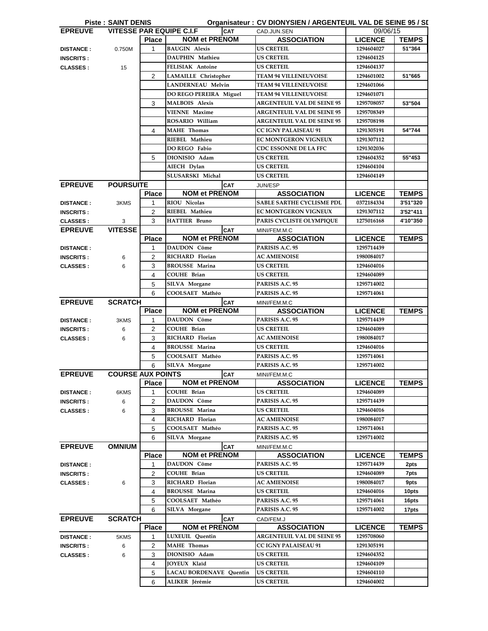|                  | <b>Piste: SAINT DENIS</b> |                |                                               | Organisateur: CV DIONYSIEN / ARGENTEUIL VAL DE SEINE 95 / SI |                |              |
|------------------|---------------------------|----------------|-----------------------------------------------|--------------------------------------------------------------|----------------|--------------|
| <b>EPREUVE</b>   |                           |                | <b>VITESSE PAR EQUIPE C.I.F</b><br><b>CAT</b> | CAD.JUN.SEN                                                  | 09/06/15       |              |
|                  |                           | <b>Place</b>   | <b>NOM et PRENOM</b>                          | <b>ASSOCIATION</b>                                           | <b>LICENCE</b> | <b>TEMPS</b> |
| <b>DISTANCE:</b> | 0.750M                    | $\mathbf{1}$   | <b>BAUGIN Alexis</b>                          | <b>US CRETEIL</b>                                            | 1294604027     | 51"364       |
| <b>INSCRITS:</b> |                           |                | DAUPHIN Mathieu                               | <b>US CRETEIL</b>                                            | 1294604125     |              |
| <b>CLASSES:</b>  | 15                        |                | FELISIAK Antoine                              | <b>US CRETEIL</b>                                            | 1294604137     |              |
|                  |                           | $\overline{2}$ | <b>LAMAILLE</b> Christopher                   | <b>TEAM 94 VILLENEUVOISE</b>                                 | 1294601002     | 51"665       |
|                  |                           |                | <b>LANDERNEAU Melvin</b>                      | <b>TEAM 94 VILLENEUVOISE</b>                                 | 1294601066     |              |
|                  |                           |                | DO REGO PEREIRA Miguel                        | <b>TEAM 94 VILLENEUVOISE</b>                                 | 1294601071     |              |
|                  |                           | 3              | <b>MALBOIS Alexis</b>                         | <b>ARGENTEUIL VAL DE SEINE 95</b>                            | 1295708057     | 53"504       |
|                  |                           |                | <b>VIENNE Maxime</b>                          | <b>ARGENTEUIL VAL DE SEINE 95</b>                            | 1295708349     |              |
|                  |                           |                | ROSARIO William                               | <b>ARGENTEUIL VAL DE SEINE 95</b>                            | 1295708198     |              |
|                  |                           | 4              | <b>MAHE</b> Thomas                            | <b>CC IGNY PALAISEAU 91</b>                                  | 1291305191     | 54"744       |
|                  |                           |                | RIEBEL Mathieu                                | <b>EC MONTGERON VIGNEUX</b>                                  | 1291307112     |              |
|                  |                           |                | DO REGO Fabio                                 | <b>CDC ESSONNE DE LA FFC</b>                                 | 1291302036     |              |
|                  |                           | 5              | DIONISIO Adam                                 | <b>US CRETEIL</b>                                            | 1294604352     | 55"453       |
|                  |                           |                | AIECH Dylan                                   | <b>US CRETEIL</b>                                            | 1294604104     |              |
|                  |                           |                | SLUSARSKI Michal                              | <b>US CRETEIL</b>                                            | 1294604149     |              |
| <b>EPREUVE</b>   | <b>POURSUITE</b>          |                | <b>CAT</b>                                    | JUN/ESP                                                      |                |              |
|                  |                           | <b>Place</b>   | <b>NOM et PRENOM</b>                          | <b>ASSOCIATION</b>                                           | <b>LICENCE</b> | <b>TEMPS</b> |
| <b>DISTANCE:</b> | 3KMS                      | 1              | <b>RIOU Nicolas</b>                           | <b>SABLE SARTHE CYCLISME PDL</b>                             | 0372184334     | 3'51"320     |
| <b>INSCRITS:</b> |                           | $\overline{2}$ | RIEBEL Mathieu                                | EC MONTGERON VIGNEUX                                         | 1291307112     | 3'52"411     |
| <b>CLASSES:</b>  | 3                         | 3              | <b>HATTIER Bruno</b>                          | PARIS CYCLISTE OLYMPIQUE                                     | 1275016168     | 4'10"350     |
| <b>EPREUVE</b>   | <b>VITESSE</b>            |                | <b>CAT</b>                                    | MINI/FEM.M.C                                                 |                |              |
|                  |                           | <b>Place</b>   | <b>NOM et PRENOM</b>                          | <b>ASSOCIATION</b>                                           | <b>LICENCE</b> | <b>TEMPS</b> |
| <b>DISTANCE:</b> |                           | 1              | <b>DAUDON Côme</b>                            | PARISIS A.C. 95                                              | 1295714439     |              |
| <b>INSCRITS:</b> | 6                         | $\overline{2}$ | <b>RICHARD Florian</b>                        | <b>AC AMIENOISE</b>                                          | 1980084017     |              |
| <b>CLASSES:</b>  | 6                         | 3              | <b>BROUSSE Marina</b>                         | <b>US CRETEIL</b>                                            | 1294604016     |              |
|                  |                           | 4              | <b>COUHE Brian</b>                            | <b>US CRETEIL</b>                                            | 1294604089     |              |
|                  |                           | 5              | <b>SILVA Morgane</b>                          | PARISIS A.C. 95                                              | 1295714002     |              |
|                  |                           | 6              | COOLSAET Mathéo                               | PARISIS A.C. 95                                              | 1295714061     |              |
| <b>EPREUVE</b>   | <b>SCRATCH</b>            |                | <b>CAT</b>                                    | MINI/FEM.M.C                                                 |                |              |
|                  |                           | <b>Place</b>   | <b>NOM et PRENOM</b>                          | <b>ASSOCIATION</b>                                           | <b>LICENCE</b> | <b>TEMPS</b> |
| <b>DISTANCE:</b> | 3KMS                      | 1              | <b>DAUDON</b> Côme                            | PARISIS A.C. 95                                              | 1295714439     |              |
| <b>INSCRITS:</b> | 6                         | 2              | <b>COUHE Brian</b>                            | <b>US CRETEIL</b>                                            | 1294604089     |              |
| <b>CLASSES:</b>  | 6                         | 3              | <b>RICHARD Florian</b>                        | <b>AC AMIENOISE</b>                                          | 1980084017     |              |
|                  |                           | 4              | <b>BROUSSE Marina</b>                         | <b>US CRETEIL</b>                                            | 1294604016     |              |
|                  |                           | 5              | COOLSAET Mathéo                               | PARISIS A.C. 95                                              | 1295714061     |              |
|                  |                           | 6              | SILVA Morgane                                 | PARISIS A.C. 95                                              | 1295714002     |              |
| <b>EPREUVE</b>   | <b>COURSE AUX POINTS</b>  |                | <b>CAT</b>                                    | MINI/FEM.M.C                                                 |                |              |
|                  |                           | <b>Place</b>   | <b>NOM et PRENOM</b>                          | <b>ASSOCIATION</b>                                           | <b>LICENCE</b> | <b>TEMPS</b> |
| <b>DISTANCE:</b> | 6KMS                      | 1              | <b>COUHE Brian</b>                            | <b>US CRETEIL</b>                                            | 1294604089     |              |
| <b>INSCRITS:</b> | 6                         | $\overline{c}$ | DAUDON Côme                                   | PARISIS A.C. 95                                              | 1295714439     |              |
| <b>CLASSES:</b>  | 6                         | 3              | <b>BROUSSE Marina</b>                         | <b>US CRETEIL</b>                                            | 1294604016     |              |
|                  |                           | 4              | RICHARD Florian                               | <b>AC AMIENOISE</b>                                          | 1980084017     |              |
|                  |                           | 5              | COOLSAET Mathéo                               | PARISIS A.C. 95                                              | 1295714061     |              |
|                  |                           | 6              | <b>SILVA Morgane</b>                          | PARISIS A.C. 95                                              | 1295714002     |              |
| <b>EPREUVE</b>   | <b>OMNIUM</b>             |                | <b>CAT</b>                                    | MINI/FEM.M.C                                                 |                |              |
|                  |                           | <b>Place</b>   | <b>NOM et PRENOM</b>                          | <b>ASSOCIATION</b>                                           | <b>LICENCE</b> | <b>TEMPS</b> |
| <b>DISTANCE:</b> |                           | 1              | <b>DAUDON Côme</b>                            | PARISIS A.C. 95                                              | 1295714439     | 2pts         |
| <b>INSCRITS:</b> |                           | 2              | <b>COUHE Brian</b>                            | <b>US CRETEIL</b>                                            | 1294604089     | 7pts         |
|                  |                           | 3              | RICHARD Florian                               | <b>AC AMIENOISE</b>                                          | 1980084017     | 9pts         |
| <b>CLASSES:</b>  | 6                         |                | <b>BROUSSE Marina</b>                         | <b>US CRETEIL</b>                                            |                |              |
|                  |                           | 4              |                                               |                                                              | 1294604016     | 10pts        |
|                  |                           | 5              | COOLSAET Mathéo                               | PARISIS A.C. 95                                              | 1295714061     | 16pts        |
|                  |                           | 6              | <b>SILVA Morgane</b>                          | PARISIS A.C. 95                                              | 1295714002     | 17pts        |
| <b>EPREUVE</b>   | <b>SCRATCH</b>            |                | <b>CAT</b>                                    | CAD/FEM.J                                                    |                |              |
|                  |                           | <b>Place</b>   | <b>NOM et PRENOM</b>                          | <b>ASSOCIATION</b>                                           | <b>LICENCE</b> | <b>TEMPS</b> |
| <b>DISTANCE:</b> | 5KMS                      | 1              | LUXEUIL Quentin                               | <b>ARGENTEUIL VAL DE SEINE 95</b>                            | 1295708060     |              |
| <b>INSCRITS:</b> | 6                         | $\overline{2}$ | <b>MAHE</b> Thomas                            | <b>CC IGNY PALAISEAU 91</b>                                  | 1291305191     |              |
| <b>CLASSES:</b>  | 6                         | 3              | DIONISIO Adam                                 | <b>US CRETEIL</b>                                            | 1294604352     |              |
|                  |                           | 4              | <b>JOYEUX Klaïd</b>                           | <b>US CRETEIL</b>                                            | 1294604109     |              |
|                  |                           | 5              | <b>LACAU BORDENAVE Quentin</b>                | <b>US CRETEIL</b>                                            | 1294604110     |              |
|                  |                           | 6              | ALIKER Jérémie                                | <b>US CRETEIL</b>                                            | 1294604002     |              |
|                  |                           |                |                                               |                                                              |                |              |